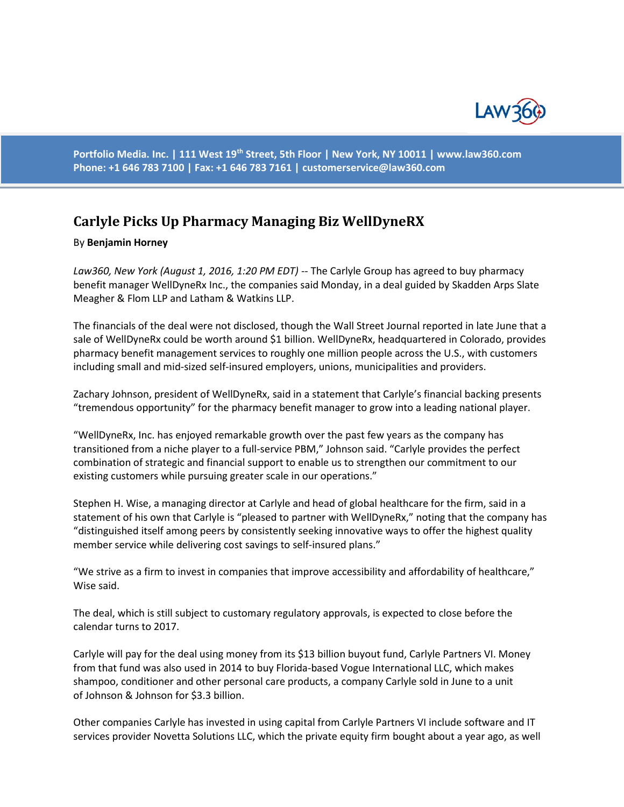

**Portfolio Media. Inc. | 111 West 19th Street, 5th Floor | New York, NY 10011 | www.law360.com Phone: +1 646 783 7100 | Fax: +1 646 783 7161 | [customerservice@law360.com](mailto:customerservice@law360.com)**

## **Carlyle Picks Up Pharmacy Managing Biz WellDyneRX**

## By **Benjamin Horney**

*Law360, New York (August 1, 2016, 1:20 PM EDT)* -- The Carlyle Group has agreed to buy pharmacy benefit manager WellDyneRx Inc., the companies said Monday, in a deal guided by Skadden Arps Slate Meagher & Flom LLP and Latham & Watkins LLP.

The financials of the deal were not disclosed, though the Wall Street Journal reported in late June that a sale of WellDyneRx could be worth around \$1 billion. WellDyneRx, headquartered in Colorado, provides pharmacy benefit management services to roughly one million people across the U.S., with customers including small and mid-sized self-insured employers, unions, municipalities and providers.

Zachary Johnson, president of WellDyneRx, said in a statement that Carlyle's financial backing presents "tremendous opportunity" for the pharmacy benefit manager to grow into a leading national player.

"WellDyneRx, Inc. has enjoyed remarkable growth over the past few years as the company has transitioned from a niche player to a full-service PBM," Johnson said. "Carlyle provides the perfect combination of strategic and financial support to enable us to strengthen our commitment to our existing customers while pursuing greater scale in our operations."

Stephen H. Wise, a managing director at Carlyle and head of global healthcare for the firm, said in a statement of his own that Carlyle is "pleased to partner with WellDyneRx," noting that the company has "distinguished itself among peers by consistently seeking innovative ways to offer the highest quality member service while delivering cost savings to self-insured plans."

"We strive as a firm to invest in companies that improve accessibility and affordability of healthcare," Wise said.

The deal, which is still subject to customary regulatory approvals, is expected to close before the calendar turns to 2017.

Carlyle will pay for the deal using money from its \$13 billion buyout fund, Carlyle Partners VI. Money from that fund was also used in 2014 to buy Florida-based Vogue International LLC, which makes shampoo, conditioner and other personal care products, a company Carlyle sold in June to a unit of Johnson & Johnson for \$3.3 billion.

Other companies Carlyle has invested in using capital from Carlyle Partners VI include software and IT services provider Novetta Solutions LLC, which the private equity firm bought about a year ago, as well